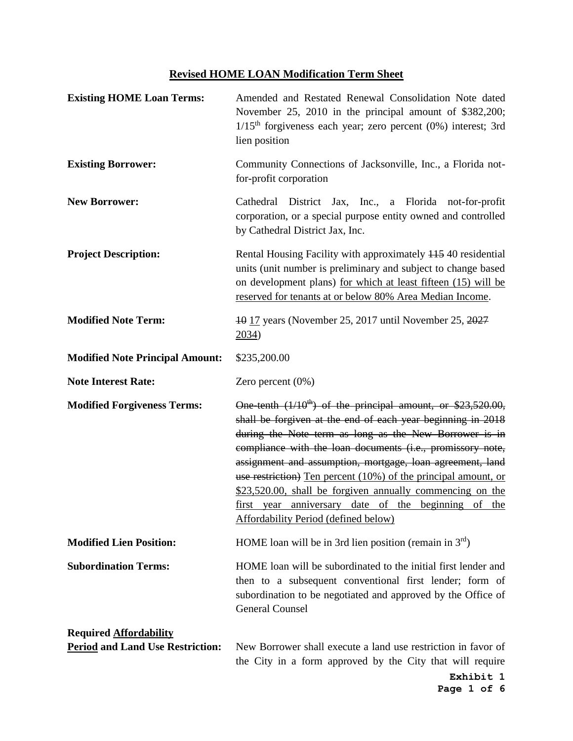## **Revised HOME LOAN Modification Term Sheet**

| <b>Existing HOME Loan Terms:</b>                                         | Amended and Restated Renewal Consolidation Note dated<br>November 25, 2010 in the principal amount of \$382,200;<br>$1/15th$ forgiveness each year; zero percent (0%) interest; 3rd<br>lien position                                                                                                                                                                                                                                                                                                                                                      |
|--------------------------------------------------------------------------|-----------------------------------------------------------------------------------------------------------------------------------------------------------------------------------------------------------------------------------------------------------------------------------------------------------------------------------------------------------------------------------------------------------------------------------------------------------------------------------------------------------------------------------------------------------|
| <b>Existing Borrower:</b>                                                | Community Connections of Jacksonville, Inc., a Florida not-<br>for-profit corporation                                                                                                                                                                                                                                                                                                                                                                                                                                                                     |
| <b>New Borrower:</b>                                                     | District Jax, Inc., a Florida not-for-profit<br>Cathedral<br>corporation, or a special purpose entity owned and controlled<br>by Cathedral District Jax, Inc.                                                                                                                                                                                                                                                                                                                                                                                             |
| <b>Project Description:</b>                                              | Rental Housing Facility with approximately 11540 residential<br>units (unit number is preliminary and subject to change based<br>on development plans) for which at least fifteen (15) will be<br>reserved for tenants at or below 80% Area Median Income.                                                                                                                                                                                                                                                                                                |
| <b>Modified Note Term:</b>                                               | 10 17 years (November 25, 2017 until November 25, 2027<br>2034)                                                                                                                                                                                                                                                                                                                                                                                                                                                                                           |
| <b>Modified Note Principal Amount:</b>                                   | \$235,200.00                                                                                                                                                                                                                                                                                                                                                                                                                                                                                                                                              |
| <b>Note Interest Rate:</b>                                               | Zero percent $(0\%)$                                                                                                                                                                                                                                                                                                                                                                                                                                                                                                                                      |
| <b>Modified Forgiveness Terms:</b>                                       | One tenth $(1/10^{th})$ of the principal amount, or \$23,520.00,<br>shall be forgiven at the end of each year beginning in 2018<br>during the Note term as long as the New Borrower is in<br>compliance with the loan documents (i.e., promissory note,<br>assignment and assumption, mortgage, loan agreement, land<br>use restriction) Ten percent (10%) of the principal amount, or<br>\$23,520.00, shall be forgiven annually commencing on the<br>first year anniversary date of the beginning of the<br><b>Affordability Period (defined below)</b> |
| <b>Modified Lien Position:</b>                                           | HOME loan will be in 3rd lien position (remain in $3rd$ )                                                                                                                                                                                                                                                                                                                                                                                                                                                                                                 |
| <b>Subordination Terms:</b>                                              | HOME loan will be subordinated to the initial first lender and<br>then to a subsequent conventional first lender; form of<br>subordination to be negotiated and approved by the Office of<br><b>General Counsel</b>                                                                                                                                                                                                                                                                                                                                       |
| <b>Required Affordability</b><br><b>Period and Land Use Restriction:</b> | New Borrower shall execute a land use restriction in favor of<br>the City in a form approved by the City that will require                                                                                                                                                                                                                                                                                                                                                                                                                                |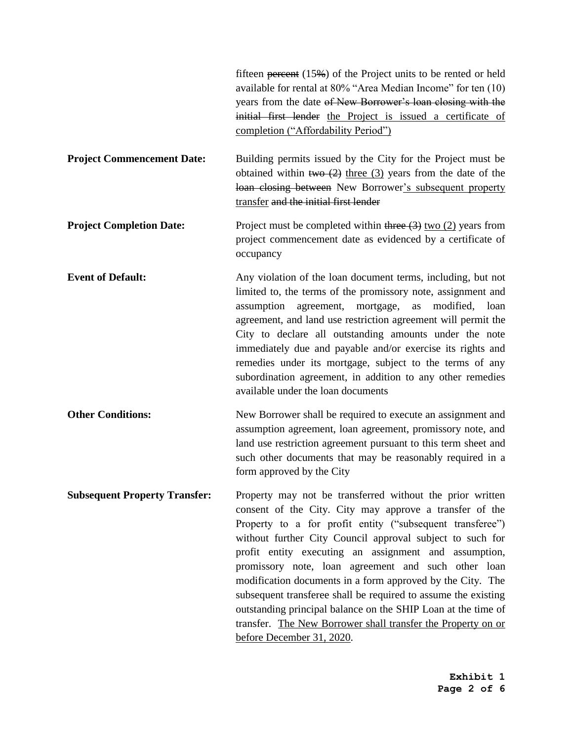|                                      | fifteen percent $(15\%)$ of the Project units to be rented or held<br>available for rental at 80% "Area Median Income" for ten (10)<br>years from the date of New Borrower's loan closing with the<br>initial first lender the Project is issued a certificate of<br>completion ("Affordability Period")                                                                                                                                                                                                                                                                                                                                                     |
|--------------------------------------|--------------------------------------------------------------------------------------------------------------------------------------------------------------------------------------------------------------------------------------------------------------------------------------------------------------------------------------------------------------------------------------------------------------------------------------------------------------------------------------------------------------------------------------------------------------------------------------------------------------------------------------------------------------|
| <b>Project Commencement Date:</b>    | Building permits issued by the City for the Project must be<br>obtained within two $(2)$ three $(3)$ years from the date of the<br>loan closing between New Borrower's subsequent property<br>transfer and the initial first lender                                                                                                                                                                                                                                                                                                                                                                                                                          |
| <b>Project Completion Date:</b>      | Project must be completed within three $(3)$ two $(2)$ years from<br>project commencement date as evidenced by a certificate of<br>occupancy                                                                                                                                                                                                                                                                                                                                                                                                                                                                                                                 |
| <b>Event of Default:</b>             | Any violation of the loan document terms, including, but not<br>limited to, the terms of the promissory note, assignment and<br>assumption agreement, mortgage,<br>modified,<br>as<br>loan<br>agreement, and land use restriction agreement will permit the<br>City to declare all outstanding amounts under the note<br>immediately due and payable and/or exercise its rights and<br>remedies under its mortgage, subject to the terms of any<br>subordination agreement, in addition to any other remedies<br>available under the loan documents                                                                                                          |
| <b>Other Conditions:</b>             | New Borrower shall be required to execute an assignment and<br>assumption agreement, loan agreement, promissory note, and<br>land use restriction agreement pursuant to this term sheet and<br>such other documents that may be reasonably required in a<br>form approved by the City                                                                                                                                                                                                                                                                                                                                                                        |
| <b>Subsequent Property Transfer:</b> | Property may not be transferred without the prior written<br>consent of the City. City may approve a transfer of the<br>Property to a for profit entity ("subsequent transferee")<br>without further City Council approval subject to such for<br>profit entity executing an assignment and assumption,<br>promissory note, loan agreement and such other loan<br>modification documents in a form approved by the City. The<br>subsequent transferee shall be required to assume the existing<br>outstanding principal balance on the SHIP Loan at the time of<br>transfer. The New Borrower shall transfer the Property on or<br>before December 31, 2020. |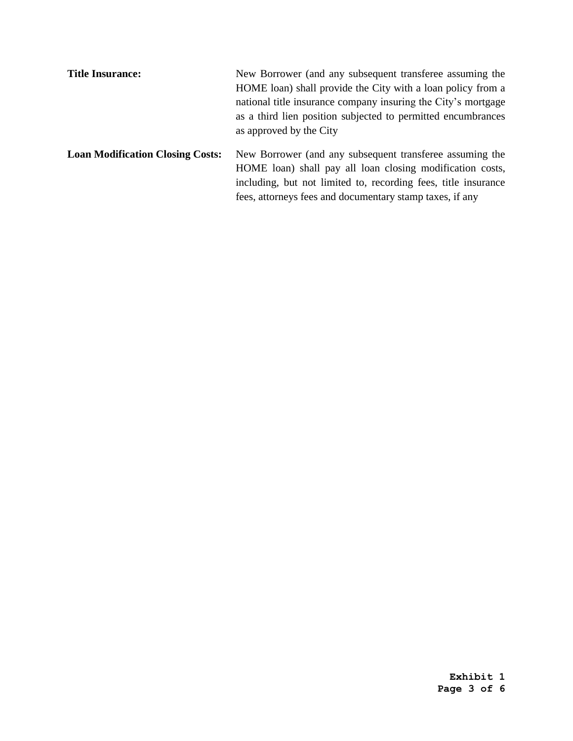| <b>Title Insurance:</b>                 | New Borrower (and any subsequent transferee assuming the                                                              |
|-----------------------------------------|-----------------------------------------------------------------------------------------------------------------------|
|                                         | HOME loan) shall provide the City with a loan policy from a                                                           |
|                                         | national title insurance company insuring the City's mortgage                                                         |
|                                         | as a third lien position subjected to permitted encumbrances                                                          |
|                                         | as approved by the City                                                                                               |
| <b>Loan Modification Closing Costs:</b> | New Borrower (and any subsequent transferee assuming the<br>HOME loan) shall pay all loan closing modification costs, |
|                                         | including, but not limited to, recording fees, title insurance                                                        |
|                                         | fees, attorneys fees and documentary stamp taxes, if any                                                              |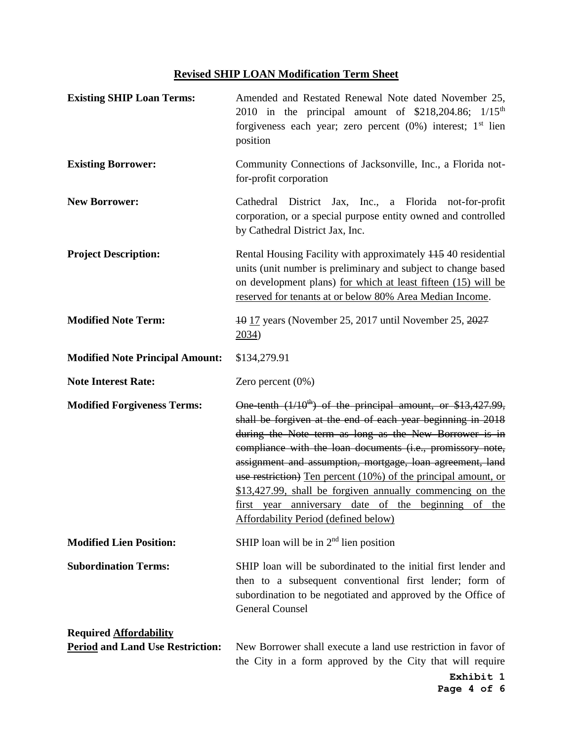## **Revised SHIP LOAN Modification Term Sheet**

| <b>Existing SHIP Loan Terms:</b>                                         | Amended and Restated Renewal Note dated November 25,<br>2010 in the principal amount of $$218,204.86$ ; $1/15$ <sup>th</sup><br>forgiveness each year; zero percent $(0\%)$ interest; $1st$ lien<br>position                                                                                                                                                                                                                                                                                                                                       |
|--------------------------------------------------------------------------|----------------------------------------------------------------------------------------------------------------------------------------------------------------------------------------------------------------------------------------------------------------------------------------------------------------------------------------------------------------------------------------------------------------------------------------------------------------------------------------------------------------------------------------------------|
| <b>Existing Borrower:</b>                                                | Community Connections of Jacksonville, Inc., a Florida not-<br>for-profit corporation                                                                                                                                                                                                                                                                                                                                                                                                                                                              |
| <b>New Borrower:</b>                                                     | Cathedral District Jax, Inc., a Florida not-for-profit<br>corporation, or a special purpose entity owned and controlled<br>by Cathedral District Jax, Inc.                                                                                                                                                                                                                                                                                                                                                                                         |
| <b>Project Description:</b>                                              | Rental Housing Facility with approximately 11540 residential<br>units (unit number is preliminary and subject to change based<br>on development plans) for which at least fifteen (15) will be<br>reserved for tenants at or below 80% Area Median Income.                                                                                                                                                                                                                                                                                         |
| <b>Modified Note Term:</b>                                               | 40 17 years (November 25, 2017 until November 25, 2027<br>2034)                                                                                                                                                                                                                                                                                                                                                                                                                                                                                    |
| <b>Modified Note Principal Amount:</b>                                   | \$134,279.91                                                                                                                                                                                                                                                                                                                                                                                                                                                                                                                                       |
| <b>Note Interest Rate:</b>                                               | Zero percent (0%)                                                                                                                                                                                                                                                                                                                                                                                                                                                                                                                                  |
| <b>Modified Forgiveness Terms:</b>                                       | One tenth $(1/10^{th})$ of the principal amount, or \$13,427.99,<br>shall be forgiven at the end of each year beginning in 2018<br>during the Note term as long as the New Borrower is in<br>compliance with the loan documents (i.e., promissory note,<br>assignment and assumption, mortgage, loan agreement, land<br>use restriction) Ten percent (10%) of the principal amount, or<br>\$13,427.99, shall be forgiven annually commencing on the<br>first year anniversary date of the beginning of the<br>Affordability Period (defined below) |
| <b>Modified Lien Position:</b>                                           | SHIP loan will be in $2nd$ lien position                                                                                                                                                                                                                                                                                                                                                                                                                                                                                                           |
| <b>Subordination Terms:</b>                                              | SHIP loan will be subordinated to the initial first lender and<br>then to a subsequent conventional first lender; form of<br>subordination to be negotiated and approved by the Office of<br><b>General Counsel</b>                                                                                                                                                                                                                                                                                                                                |
| <b>Required Affordability</b><br><b>Period and Land Use Restriction:</b> | New Borrower shall execute a land use restriction in favor of<br>the City in a form approved by the City that will require                                                                                                                                                                                                                                                                                                                                                                                                                         |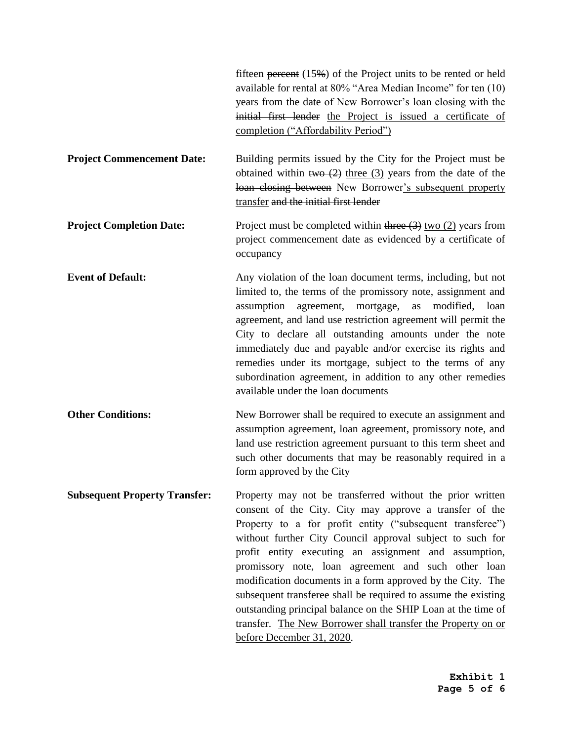|                                      | fifteen percent $(15\%)$ of the Project units to be rented or held<br>available for rental at 80% "Area Median Income" for ten (10)<br>years from the date of New Borrower's loan closing with the<br>initial first lender the Project is issued a certificate of<br>completion ("Affordability Period")                                                                                                                                                                                                                                                                                                                                                     |
|--------------------------------------|--------------------------------------------------------------------------------------------------------------------------------------------------------------------------------------------------------------------------------------------------------------------------------------------------------------------------------------------------------------------------------------------------------------------------------------------------------------------------------------------------------------------------------------------------------------------------------------------------------------------------------------------------------------|
| <b>Project Commencement Date:</b>    | Building permits issued by the City for the Project must be<br>obtained within two $(2)$ three $(3)$ years from the date of the<br>loan closing between New Borrower's subsequent property<br>transfer and the initial first lender                                                                                                                                                                                                                                                                                                                                                                                                                          |
| <b>Project Completion Date:</b>      | Project must be completed within three $(3)$ two $(2)$ years from<br>project commencement date as evidenced by a certificate of<br>occupancy                                                                                                                                                                                                                                                                                                                                                                                                                                                                                                                 |
| <b>Event of Default:</b>             | Any violation of the loan document terms, including, but not<br>limited to, the terms of the promissory note, assignment and<br>assumption agreement, mortgage,<br>modified, loan<br>as<br>agreement, and land use restriction agreement will permit the<br>City to declare all outstanding amounts under the note<br>immediately due and payable and/or exercise its rights and<br>remedies under its mortgage, subject to the terms of any<br>subordination agreement, in addition to any other remedies<br>available under the loan documents                                                                                                             |
| <b>Other Conditions:</b>             | New Borrower shall be required to execute an assignment and<br>assumption agreement, loan agreement, promissory note, and<br>land use restriction agreement pursuant to this term sheet and<br>such other documents that may be reasonably required in a<br>form approved by the City                                                                                                                                                                                                                                                                                                                                                                        |
| <b>Subsequent Property Transfer:</b> | Property may not be transferred without the prior written<br>consent of the City. City may approve a transfer of the<br>Property to a for profit entity ("subsequent transferee")<br>without further City Council approval subject to such for<br>profit entity executing an assignment and assumption,<br>promissory note, loan agreement and such other loan<br>modification documents in a form approved by the City. The<br>subsequent transferee shall be required to assume the existing<br>outstanding principal balance on the SHIP Loan at the time of<br>transfer. The New Borrower shall transfer the Property on or<br>before December 31, 2020. |